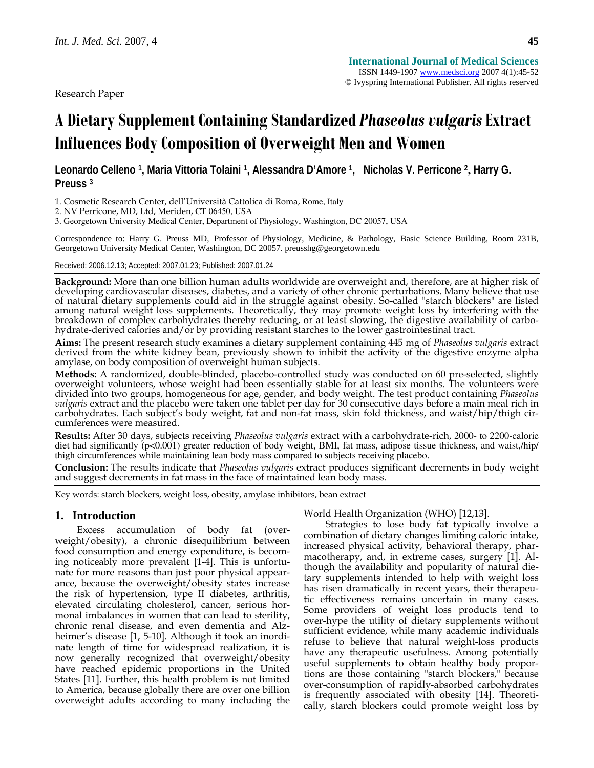Research Paper

# **A Dietary Supplement Containing Standardized** *Phaseolus vulgaris* **Extract Influences Body Composition of Overweight Men and Women**

**Leonardo Celleno 1, Maria Vittoria Tolaini 1, Alessandra D'Amore 1, Nicholas V. Perricone 2, Harry G. Preuss 3**

1. Cosmetic Research Center, dell'Università Cattolica di Roma, Rome, Italy

2. NV Perricone, MD, Ltd, Meriden, CT 06450, USA

3. Georgetown University Medical Center, Department of Physiology, Washington, DC 20057, USA

Correspondence to: Harry G. Preuss MD, Professor of Physiology, Medicine, & Pathology, Basic Science Building, Room 231B, Georgetown University Medical Center, Washington, DC 20057. preusshg@georgetown.edu

Received: 2006.12.13; Accepted: 2007.01.23; Published: 2007.01.24

**Background:** More than one billion human adults worldwide are overweight and, therefore, are at higher risk of<br>developing cardiovascular diseases, diabetes, and a variety of other chronic perturbations. Many believe that among natural weight loss supplements. Theoretically, they may promote weight loss by interfering with the breakdown of complex carbohydrates thereby reducing, or at least slowing, the digestive availability of carbohydrate-derived calories and/or by providing resistant starches to the lower gastrointestinal tract.

**Aims:** The present research study examines a dietary supplement containing 445 mg of *Phaseolus vulgaris* extract derived from the white kidney bean, previously shown to inhibit the activity of the digestive enzyme alpha amylase, on body composition of overweight human subjects.

**Methods:** A randomized, double-blinded, placebo-controlled study was conducted on 60 pre-selected, slightly overweight volunteers, whose weight had been essentially stable for at least six months. The volunteers were divided into two groups, homogeneous for age, gender, and body weight. The test product containing *Phaseolus vulgaris* extract and the placebo were taken one tablet per day for 30 consecutive days before a main meal rich in carbohydrates. Each subject's body weight, fat and non-fat mass, skin fold thickness, and waist/hip/thigh circumferences were measured.

**Results:** After 30 days, subjects receiving *Phaseolus vulgaris* extract with a carbohydrate-rich, 2000- to 2200-calorie diet had significantly (p<0.001) greater reduction of body weight, BMI, fat mass, adipose tissue thickness, and waist,/hip/ thigh circumferences while maintaining lean body mass compared to subjects receiving placebo.

**Conclusion:** The results indicate that *Phaseolus vulgaris* extract produces significant decrements in body weight and suggest decrements in fat mass in the face of maintained lean body mass.

Key words: starch blockers, weight loss, obesity, amylase inhibitors, bean extract

# **1. Introduction**

Excess accumulation of body fat (overweight/obesity), a chronic disequilibrium between food consumption and energy expenditure, is becoming noticeably more prevalent [1-4]. This is unfortunate for more reasons than just poor physical appearance, because the overweight/obesity states increase the risk of hypertension, type II diabetes, arthritis, elevated circulating cholesterol, cancer, serious hormonal imbalances in women that can lead to sterility, chronic renal disease, and even dementia and Alzheimer's disease [1, 5-10]. Although it took an inordinate length of time for widespread realization, it is now generally recognized that overweight/obesity have reached epidemic proportions in the United States [11]. Further, this health problem is not limited to America, because globally there are over one billion overweight adults according to many including the World Health Organization (WHO) [12,13].

Strategies to lose body fat typically involve a combination of dietary changes limiting caloric intake, increased physical activity, behavioral therapy, pharmacotherapy, and, in extreme cases, surgery [1]. Although the availability and popularity of natural dietary supplements intended to help with weight loss has risen dramatically in recent years, their therapeutic effectiveness remains uncertain in many cases. Some providers of weight loss products tend to over-hype the utility of dietary supplements without sufficient evidence, while many academic individuals refuse to believe that natural weight-loss products have any therapeutic usefulness. Among potentially useful supplements to obtain healthy body proportions are those containing "starch blockers," because over-consumption of rapidly-absorbed carbohydrates is frequently associated with obesity [14]. Theoretically, starch blockers could promote weight loss by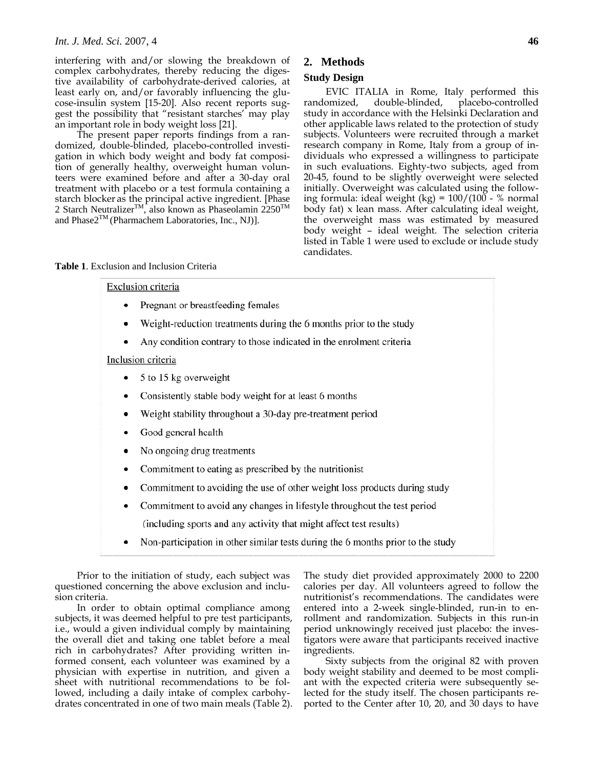interfering with and/or slowing the breakdown of complex carbohydrates, thereby reducing the digestive availability of carbohydrate-derived calories, at least early on, and/or favorably influencing the glucose-insulin system [15-20]. Also recent reports suggest the possibility that "resistant starches' may play an important role in body weight loss [21].

The present paper reports findings from a randomized, double-blinded, placebo-controlled investigation in which body weight and body fat composition of generally healthy, overweight human volunteers were examined before and after a 30-day oral treatment with placebo or a test formula containing a starch blocker as the principal active ingredient. [Phase 2 Starch Neutralizer<sup>TM</sup>, also known as Phaseolamin  $2250<sup>TM</sup>$ and  $Phase2<sup>TM</sup>$  (Pharmachem Laboratories, Inc., NJ)].

# **2. Methods**

# **Study Design**

EVIC ITALIA in Rome, Italy performed this randomized, double-blinded, placebo-controlled study in accordance with the Helsinki Declaration and other applicable laws related to the protection of study subjects. Volunteers were recruited through a market research company in Rome, Italy from a group of individuals who expressed a willingness to participate in such evaluations. Eighty-two subjects, aged from 20-45, found to be slightly overweight were selected initially. Overweight was calculated using the following formula: ideal weight  $(kg) = 100/(100 - %$  normal body fat) x lean mass. After calculating ideal weight, the overweight mass was estimated by measured body weight – ideal weight. The selection criteria listed in Table 1 were used to exclude or include study candidates.

| <b>Table 1.</b> Exclusion and Inclusion Criteria |  |  |
|--------------------------------------------------|--|--|
|--------------------------------------------------|--|--|

# Exclusion criteria

- Pregnant or breastfeeding females
- Weight-reduction treatments during the 6 months prior to the study  $\bullet$
- Any condition contrary to those indicated in the enrolment criteria

#### Inclusion criteria

- 5 to 15 kg overweight
- Consistently stable body weight for at least 6 months
- Weight stability throughout a 30-day pre-treatment period
- Good general health
- No ongoing drug treatments
- Commitment to eating as prescribed by the nutritionist
- Commitment to avoiding the use of other weight loss products during study
- Commitment to avoid any changes in lifestyle throughout the test period
	- (including sports and any activity that might affect test results)
- Non-participation in other similar tests during the 6 months prior to the study

Prior to the initiation of study, each subject was questioned concerning the above exclusion and inclusion criteria.

In order to obtain optimal compliance among subjects, it was deemed helpful to pre test participants, i.e., would a given individual comply by maintaining the overall diet and taking one tablet before a meal rich in carbohydrates? After providing written informed consent, each volunteer was examined by a physician with expertise in nutrition, and given a sheet with nutritional recommendations to be followed, including a daily intake of complex carbohydrates concentrated in one of two main meals (Table 2). The study diet provided approximately 2000 to 2200 calories per day. All volunteers agreed to follow the nutritionist's recommendations. The candidates were entered into a 2-week single-blinded, run-in to enrollment and randomization. Subjects in this run-in period unknowingly received just placebo: the investigators were aware that participants received inactive ingredients.

Sixty subjects from the original 82 with proven body weight stability and deemed to be most compliant with the expected criteria were subsequently selected for the study itself. The chosen participants reported to the Center after 10, 20, and 30 days to have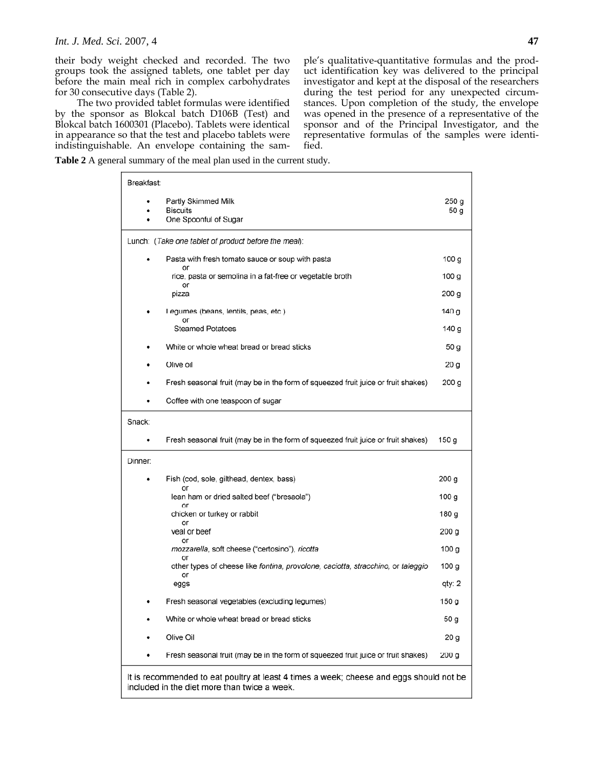*Int. J. Med. Sci.* 2007, 4 **47**

their body weight checked and recorded. The two groups took the assigned tablets, one tablet per day before the main meal rich in complex carbohydrates for 30 consecutive days (Table 2).

The two provided tablet formulas were identified by the sponsor as Blokcal batch D106B (Test) and Blokcal batch 1600301 (Placebo). Tablets were identical in appearance so that the test and placebo tablets were indistinguishable. An envelope containing the sample's qualitative-quantitative formulas and the product identification key was delivered to the principal investigator and kept at the disposal of the researchers during the test period for any unexpected circumstances. Upon completion of the study, the envelope was opened in the presence of a representative of the sponsor and of the Principal Investigator, and the representative formulas of the samples were identified.

**Table 2** A general summary of the meal plan used in the current study.

| Breakfast:                                                                                                                              |                 |  |  |
|-----------------------------------------------------------------------------------------------------------------------------------------|-----------------|--|--|
| Partly Skimmed Milk<br>٠<br><b>Biscuits</b><br>One Spoonful of Sugar                                                                    | 250 g<br>50 g   |  |  |
| Lunch: (Take one tablet of product before the meal):                                                                                    |                 |  |  |
| Pasta with fresh tomato sauce or soup with pasta                                                                                        | 100 g           |  |  |
| or<br>rice, pasta or semolina in a fat-free or vegetable broth<br>or                                                                    | 100 g           |  |  |
| pizza                                                                                                                                   | 200 g           |  |  |
| Legumes (beans, lentils, peas, etc.)<br>or                                                                                              | 140 g           |  |  |
| <b>Steamed Potatoes</b>                                                                                                                 | 140 g           |  |  |
| White or whole wheat bread or bread sticks                                                                                              | 50 g            |  |  |
| Olive oil                                                                                                                               | 20 g            |  |  |
| Fresh seasonal fruit (may be in the form of squeezed fruit juice or fruit shakes)                                                       | 200 g           |  |  |
| Coffee with one teaspoon of sugar<br>٠                                                                                                  |                 |  |  |
| Snack:                                                                                                                                  |                 |  |  |
| Fresh seasonal fruit (may be in the form of squeezed fruit juice or fruit shakes)<br>٠                                                  | 150 g           |  |  |
| Dinner:                                                                                                                                 |                 |  |  |
| Fish (cod, sole, gilthead, dentex, bass)                                                                                                | 200 g           |  |  |
| or<br>lean ham or dried salted beef ("bresaola")                                                                                        | 100 g           |  |  |
| or<br>chicken or turkey or rabbit<br>or                                                                                                 | 180 g           |  |  |
| veal or beef<br>or                                                                                                                      | 200 g           |  |  |
| <i>mozzarella</i> , soft cheese ("certosino"), ricotta<br>or                                                                            | 100 g           |  |  |
| other types of cheese like fontina, provolone, caciotta, stracchino, or taleggio<br>or                                                  | 100 g           |  |  |
| eggs                                                                                                                                    | qty: 2          |  |  |
| Fresh seasonal vegetables (excluding legumes)                                                                                           | 150 g           |  |  |
| White or whole wheat bread or bread sticks                                                                                              | 50 g            |  |  |
| Olive Oil                                                                                                                               | 20 <sub>g</sub> |  |  |
| Fresh seasonal fruit (may be in the form of squeezed fruit juice or fruit shakes)                                                       | 200 g           |  |  |
| It is recommended to eat poultry at least 4 times a week; cheese and eggs should not be<br>included in the diet more than twice a week. |                 |  |  |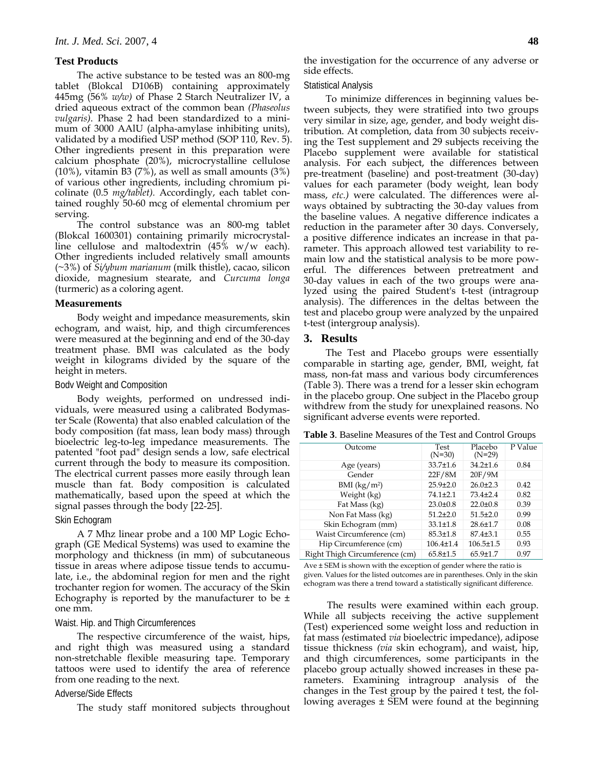# **Test Products**

The active substance to be tested was an 800-mg tablet (Blokcal D106B) containing approximately 445mg (56% *w/w)* of Phase 2 Starch Neutralizer lV, a dried aqueous extract of the common bean *(Phaseolus vulgaris)*. Phase 2 had been standardized to a minimum of 3000 AAlU (alpha-amylase inhibiting units), validated by a modified USP method (SOP 110, Rev. 5). Other ingredients present in this preparation were calcium phosphate (20%), microcrystalline cellulose  $(10\%)$ , vitamin B3  $(7\%)$ , as well as small amounts  $(3\%)$ of various other ingredients, including chromium picolinate (0.5 *mg/tablet).* Accordingly, each tablet contained roughly 50-60 mcg of elemental chromium per serving.

The control substance was an 800-mg tablet (Blokcal 1600301) containing primarily microcrystalline cellulose and maltodextrin (45% w/w each). Other ingredients included relatively small amounts (~3%) of *Si/ybum marianum* (milk thistle), cacao, silicon dioxide, magnesium stearate, and *Curcuma longa*  (turmeric) as a coloring agent.

# **Measurements**

Body weight and impedance measurements, skin echogram, and waist, hip, and thigh circumferences were measured at the beginning and end of the 30-day treatment phase. BMI was calculated as the body weight in kilograms divided by the square of the height in meters.

#### Bodv Weight and Composition

Body weights, performed on undressed individuals, were measured using a calibrated Bodymaster Scale (Rowenta) that also enabled calculation of the body composition (fat mass, lean body mass) through bioelectric leg-to-leg impedance measurements. The patented "foot pad" design sends a low, safe electrical current through the body to measure its composition. The electrical current passes more easily through lean muscle than fat. Body composition is calculated mathematically, based upon the speed at which the signal passes through the body [22-25].

#### Skin Echogram

A 7 Mhz linear probe and a 100 MP Logic Echograph (GE Medical Systems) was used to examine the morphology and thickness (in mm) of subcutaneous tissue in areas where adipose tissue tends to accumulate, i.e., the abdominal region for men and the right trochanter region for women. The accuracy of the Skin Echography is reported by the manufacturer to be  $\pm$ one mm.

#### Waist. Hip. and Thigh Circumferences

The respective circumference of the waist, hips, and right thigh was measured using a standard non-stretchable flexible measuring tape. Temporary tattoos were used to identify the area of reference from one reading to the next.

#### Adverse/Side Effects

The study staff monitored subjects throughout

# Statistical Analysis

To minimize differences in beginning values between subjects, they were stratified into two groups very similar in size, age, gender, and body weight distribution. At completion, data from 30 subjects receiving the Test supplement and 29 subjects receiving the Placebo supplement were available for statistical analysis. For each subject, the differences between pre-treatment (baseline) and post-treatment (30-day) values for each parameter (body weight, lean body mass, *etc.)* were calculated. The differences were always obtained by subtracting the 30-day values from the baseline values. A negative difference indicates a reduction in the parameter after 30 days. Conversely, a positive difference indicates an increase in that parameter. This approach allowed test variability to remain low and the statistical analysis to be more powerful. The differences between pretreatment and 30-day values in each of the two groups were analyzed using the paired Student's t-test (intragroup analysis). The differences in the deltas between the test and placebo group were analyzed by the unpaired t-test (intergroup analysis).

# **3. Results**

The Test and Placebo groups were essentially comparable in starting age, gender, BMI, weight, fat mass, non-fat mass and various body circumferences (Table 3). There was a trend for a lesser skin echogram in the placebo group. One subject in the Placebo group withdrew from the study for unexplained reasons. No significant adverse events were reported.

| Outcome                        | <b>Test</b><br>$(N=30)$ | Placebo<br>$(N=29)$ | P Value |
|--------------------------------|-------------------------|---------------------|---------|
| Age (years)                    | $33.7 \pm 1.6$          | $34.2 \pm 1.6$      | 0.84    |
| Gender                         | 22F/8M                  | 20F/9M              |         |
| BMI $(kg/m^2)$                 | $25.9 \pm 2.0$          | $26.0 \pm 2.3$      | 0.42    |
| Weight (kg)                    | $74.1 \pm 2.1$          | $73.4 \pm 2.4$      | 0.82    |
| Fat Mass (kg)                  | $23.0 \pm 0.8$          | $22.0 \pm 0.8$      | 0.39    |
| Non Fat Mass (kg)              | $51.2 \pm 2.0$          | $51.5 \pm 2.0$      | 0.99    |
| Skin Echogram (mm)             | $33.1 \pm 1.8$          | $28.6 \pm 1.7$      | 0.08    |
| Waist Circumference (cm)       | $85.3 \pm 1.8$          | $87.4 \pm 3.1$      | 0.55    |
| Hip Circumference (cm)         | $106.4 \pm 1.4$         | $106.5 \pm 1.5$     | 0.93    |
| Right Thigh Circumference (cm) | $65.8 \pm 1.5$          | 65.9±1.7            | 0.97    |

**Table 3**. Baseline Measures of the Test and Control Groups

Ave ± SEM is shown with the exception of gender where the ratio is given. Values for the listed outcomes are in parentheses. Only in the skin echogram was there a trend toward a statistically significant difference.

 The results were examined within each group. While all subjects receiving the active supplement (Test) experienced some weight loss and reduction in fat mass *(*estimated *via* bioelectric impedance), adipose tissue thickness *(via* skin echogram), and waist, hip, and thigh circumferences, some participants in the placebo group actually showed increases in these parameters. Examining intragroup analysis of the changes in the Test group by the paired t test, the following averages ± SEM were found at the beginning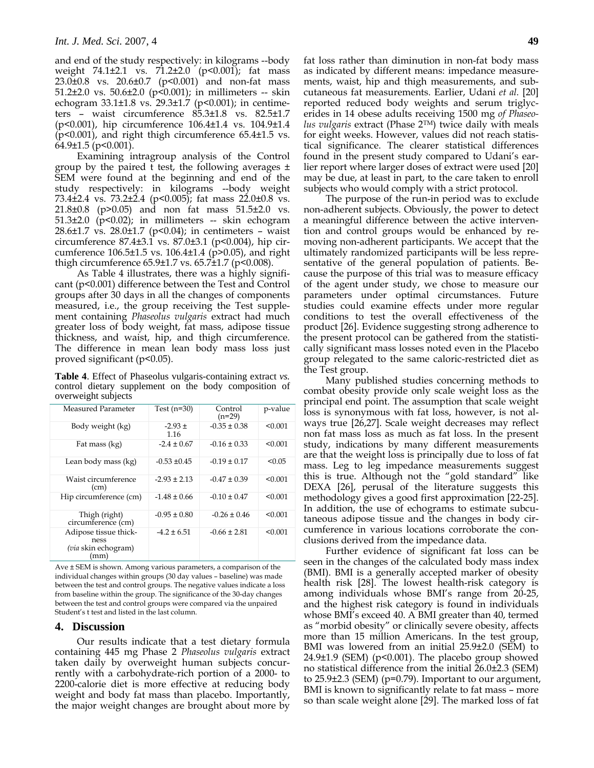and end of the study respectively: in kilograms --body weight 74.1±2.1 vs. 71.2±2.0 (p<0.001); fat mass 23.0±0.8 vs. 20.6±0.7 (p<0.001) and non-fat mass 51.2 $\pm$ 2.0 vs. 50.6 $\pm$ 2.0 (p<0.001); in millimeters -- skin echogram 33.1±1.8 vs. 29.3±1.7 (p<0.001); in centimeters – waist circumference 85.3±1.8 vs. 82.5±1.7 (p<0.001), hip circumference 106.4±1.4 vs. 104.9±1.4 (p<0.001), and right thigh circumference 65.4±1.5 vs.  $64.9\pm1.5$  (p<0.001).

Examining intragroup analysis of the Control group by the paired t test, the following averages ± SEM were found at the beginning and end of the study respectively: in kilograms --body weight 73.4±2.4 vs. 73.2±2.4 (p<0.005); fat mass 22.0±0.8 vs. 21.8±0.8 (p>0.05) and non fat mass 51.5±2.0 vs. 51.3 $\pm$ 2.0 (p<0.02); in millimeters -- skin echogram 28.6 $\pm$ 1.7 vs. 28.0 $\pm$ 1.7 (p<0.04); in centimeters - waist circumference 87.4±3.1 vs. 87.0±3.1 (p<0.004), hip circumference 106.5±1.5 vs. 106.4±1.4 (p>0.05), and right thigh circumference 65.9±1.7 vs. 65.7±1.7 (p<0.008).

As Table 4 illustrates, there was a highly significant (p<0.001) difference between the Test and Control groups after 30 days in all the changes of components measured, i.e., the group receiving the Test supplement containing *Phaseolus vulgaris* extract had much greater loss of body weight, fat mass, adipose tissue thickness, and waist, hip, and thigh circumference. The difference in mean lean body mass loss just proved significant (p<0.05).

**Table 4**. Effect of Phaseolus vulgaris-containing extract *vs.*  control dietary supplement on the body composition of overweight subjects

| Measured Parameter                                           | Test $(n=30)$     | Control<br>$(n=29)$ | p-value |
|--------------------------------------------------------------|-------------------|---------------------|---------|
| Body weight (kg)                                             | $-2.93 +$<br>1.16 | $-0.35 \pm 0.38$    | < 0.001 |
| Fat mass (kg)                                                | $-2.4 \pm 0.67$   | $-0.16 \pm 0.33$    | < 0.001 |
| Lean body mass (kg)                                          | $-0.53 \pm 0.45$  | $-0.19 \pm 0.17$    | < 0.05  |
| Waist circumference<br>(cm)                                  | $-2.93 \pm 2.13$  | $-0.47 \pm 0.39$    | < 0.001 |
| Hip circumference (cm)                                       | $-1.48 \pm 0.66$  | $-0.10 \pm 0.47$    | < 0.001 |
| Thigh (right)<br>circumference (cm)                          | $-0.95 \pm 0.80$  | $-0.26 \pm 0.46$    | < 0.001 |
| Adipose tissue thick-<br>ness<br>(via skin echogram)<br>(mm) | $-4.2 \pm 6.51$   | $-0.66 \pm 2.81$    | < 0.001 |

Ave ± SEM is shown. Among various parameters, a comparison of the individual changes within groups (30 day values – baseline) was made between the test and control groups. The negative values indicate a loss from baseline within the group. The significance of the 30-day changes between the test and control groups were compared via the unpaired Student's t test and listed in the last column.

# **4. Discussion**

Our results indicate that a test dietary formula containing 445 mg Phase 2 *Phaseolus vulgaris* extract taken daily by overweight human subjects concurrently with a carbohydrate-rich portion of a 2000- to 2200-calorie diet is more effective at reducing body weight and body fat mass than placebo. Importantly, the major weight changes are brought about more by fat loss rather than diminution in non-fat body mass as indicated by different means: impedance measurements, waist, hip and thigh measurements, and subcutaneous fat measurements. Earlier, Udani *et al.* [20] reported reduced body weights and serum triglycerides in 14 obese adults receiving 1500 mg *of Phaseolus vulgaris* extract (Phase 2TM) twice daily with meals for eight weeks. However, values did not reach statistical significance. The clearer statistical differences found in the present study compared to Udani's earlier report where larger doses of extract were used [20] may be due, at least in part, to the care taken to enroll subjects who would comply with a strict protocol.

The purpose of the run-in period was to exclude non-adherent subjects. Obviously, the power to detect a meaningful difference between the active intervention and control groups would be enhanced by removing non-adherent participants. We accept that the ultimately randomized participants will be less representative of the general population of patients. Because the purpose of this trial was to measure efficacy of the agent under study, we chose to measure our parameters under optimal circumstances. Future studies could examine effects under more regular conditions to test the overall effectiveness of the product [26]. Evidence suggesting strong adherence to the present protocol can be gathered from the statistically significant mass losses noted even in the Placebo group relegated to the same caloric-restricted diet as the Test group.

Many published studies concerning methods to combat obesity provide only scale weight loss as the principal end point. The assumption that scale weight loss is synonymous with fat loss, however, is not always true [26,27]. Scale weight decreases may reflect non fat mass loss as much as fat loss. In the present study, indications by many different measurements are that the weight loss is principally due to loss of fat mass. Leg to leg impedance measurements suggest this is true. Although not the "gold standard" like DEXA [26], perusal of the literature suggests this methodology gives a good first approximation [22-25]. In addition, the use of echograms to estimate subcutaneous adipose tissue and the changes in body circumference in various locations corroborate the conclusions derived from the impedance data.

Further evidence of significant fat loss can be seen in the changes of the calculated body mass index (BMI). BMI is a generally accepted marker of obesity health risk [28]. The lowest health-risk category is among individuals whose BMI's range from 20-25, and the highest risk category is found in individuals whose BMI's exceed 40. A BMI greater than 40, termed as "morbid obesity" or clinically severe obesity, affects more than 15 million Americans. In the test group, BMI was lowered from an initial 25.9±2.0 (SEM) to 24.9±1.9 (SEM) (p<0.001). The placebo group showed no statistical difference from the initial 26.0±2.3 (SEM) to 25.9±2.3 (SEM) (p=0.79). Important to our argument, BMI is known to significantly relate to fat mass – more so than scale weight alone [29]. The marked loss of fat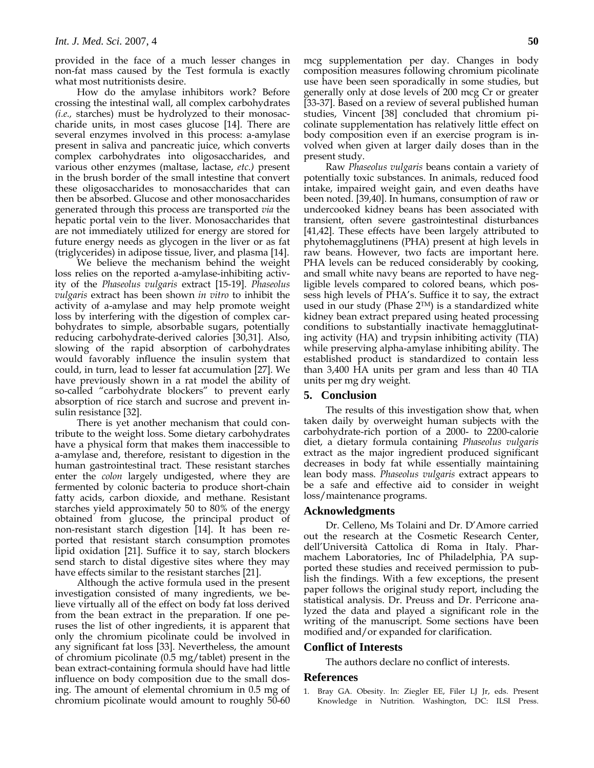provided in the face of a much lesser changes in non-fat mass caused by the Test formula is exactly what most nutritionists desire.

How do the amylase inhibitors work? Before crossing the intestinal wall, all complex carbohydrates *(i.e.,* starches) must be hydrolyzed to their monosaccharide units, in most cases glucose [14]. There are several enzymes involved in this process: a-amylase present in saliva and pancreatic juice, which converts complex carbohydrates into oligosaccharides, and various other enzymes (maltase, lactase, *etc.)* present in the brush border of the small intestine that convert these oligosaccharides to monosaccharides that can then be absorbed. Glucose and other monosaccharides generated through this process are transported *via* the hepatic portal vein to the liver. Monosaccharides that are not immediately utilized for energy are stored for future energy needs as glycogen in the liver or as fat (triglycerides) in adipose tissue, liver, and plasma [14].

We believe the mechanism behind the weight loss relies on the reported a-amylase-inhibiting activity of the *Phaseolus vulgaris* extract [15-19]. *Phaseolus vulgaris* extract has been shown *in vitro* to inhibit the activity of a-amylase and may help promote weight loss by interfering with the digestion of complex carbohydrates to simple, absorbable sugars, potentially reducing carbohydrate-derived calories [30,31]. Also, slowing of the rapid absorption of carbohydrates would favorably influence the insulin system that could, in turn, lead to lesser fat accumulation [27]. We have previously shown in a rat model the ability of so-called "carbohydrate blockers" to prevent early absorption of rice starch and sucrose and prevent insulin resistance [32].

There is yet another mechanism that could contribute to the weight loss. Some dietary carbohydrates have a physical form that makes them inaccessible to a-amylase and, therefore, resistant to digestion in the human gastrointestinal tract. These resistant starches enter the *colon* largely undigested, where they are fermented by colonic bacteria to produce short-chain fatty acids, carbon dioxide, and methane. Resistant starches yield approximately 50 to 80% of the energy obtained from glucose, the principal product of non-resistant starch digestion [14]. It has been reported that resistant starch consumption promotes lipid oxidation [21]. Suffice it to say, starch blockers send starch to distal digestive sites where they may have effects similar to the resistant starches [21].

Although the active formula used in the present investigation consisted of many ingredients, we believe virtually all of the effect on body fat loss derived from the bean extract in the preparation. If one peruses the list of other ingredients, it is apparent that only the chromium picolinate could be involved in any significant fat loss [33]. Nevertheless, the amount of chromium picolinate (0.5 mg/tablet) present in the bean extract-containing formula should have had little influence on body composition due to the small dosing. The amount of elemental chromium in 0.5 mg of chromium picolinate would amount to roughly 50-60

mcg supplementation per day. Changes in body composition measures following chromium picolinate use have been seen sporadically in some studies, but generally only at dose levels of 200 mcg Cr or greater [33-37]. Based on a review of several published human studies, Vincent [38] concluded that chromium picolinate supplementation has relatively little effect on body composition even if an exercise program is involved when given at larger daily doses than in the present study.

Raw *Phaseolus vulgaris* beans contain a variety of potentially toxic substances. In animals, reduced food intake, impaired weight gain, and even deaths have been noted. [39,40]. In humans, consumption of raw or undercooked kidney beans has been associated with transient, often severe gastrointestinal disturbances [41,42]. These effects have been largely attributed to phytohemagglutinens (PHA) present at high levels in raw beans. However, two facts are important here. PHA levels can be reduced considerably by cooking, and small white navy beans are reported to have negligible levels compared to colored beans, which possess high levels of PHA's. Suffice it to say, the extract used in our study (Phase 2TM) is a standardized white kidney bean extract prepared using heated processing conditions to substantially inactivate hemagglutinating activity (HA) and trypsin inhibiting activity (TIA) while preserving alpha-amylase inhibiting ability. The established product is standardized to contain less than 3,400 HA units per gram and less than 40 TIA units per mg dry weight.

# **5. Conclusion**

The results of this investigation show that, when taken daily by overweight human subjects with the carbohydrate-rich portion of a 2000- to 2200-calorie diet, a dietary formula containing *Phaseolus vulgaris*  extract as the major ingredient produced significant decreases in body fat while essentially maintaining lean body mass. *Phaseolus vulgaris* extract appears to be a safe and effective aid to consider in weight loss/maintenance programs.

# **Acknowledgments**

Dr. Celleno, Ms Tolaini and Dr. D'Amore carried out the research at the Cosmetic Research Center, dell'Università Cattolica di Roma in Italy. Pharmachem Laboratories, Inc of Philadelphia, PA supported these studies and received permission to publish the findings. With a few exceptions, the present paper follows the original study report, including the statistical analysis. Dr. Preuss and Dr. Perricone analyzed the data and played a significant role in the writing of the manuscript. Some sections have been modified and/or expanded for clarification.

# **Conflict of Interests**

The authors declare no conflict of interests.

# **References**

1. Bray GA. Obesity. In: Ziegler EE, Filer LJ Jr, eds. Present Knowledge in Nutrition. Washington, DC: ILSI Press.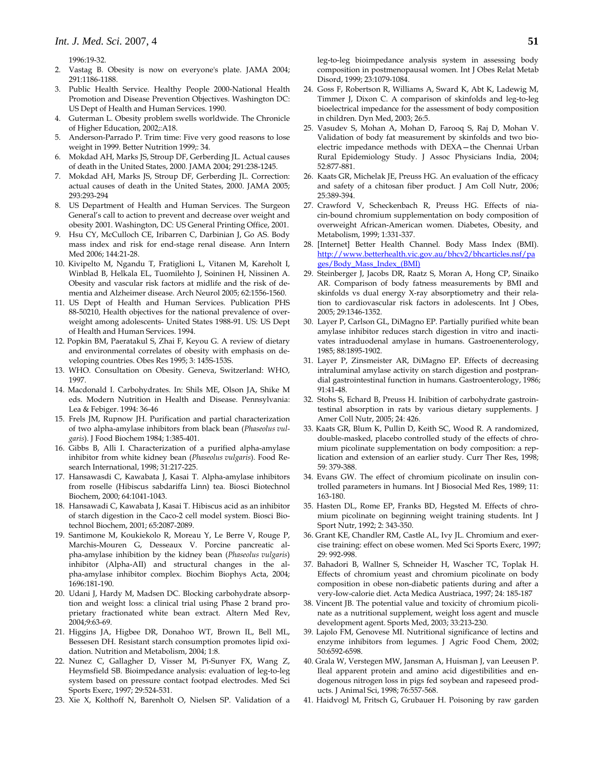1996:19-32.

- 2. Vastag B. Obesity is now on everyone's plate. JAMA 2004; 291:1186-1188.
- 3. Public Health Service. Healthy People 2000-National Health Promotion and Disease Prevention Objectives. Washington DC: US Dept of Health and Human Services. 1990.
- 4. Guterman L. Obesity problem swells worldwide. The Chronicle of Higher Education, 2002;:A18.
- 5. Anderson-Parrado P. Trim time: Five very good reasons to lose weight in 1999. Better Nutrition 1999;: 34.
- 6. Mokdad AH, Marks JS, Stroup DF, Gerberding JL. Actual causes of death in the United States, 2000. JAMA 2004; 291:238-1245.
- 7. Mokdad AH, Marks JS, Stroup DF, Gerberding JL. Correction: actual causes of death in the United States, 2000. JAMA 2005; 293:293-294
- 8. US Department of Health and Human Services. The Surgeon General's call to action to prevent and decrease over weight and obesity 2001. Washington, DC: US General Printing Office, 2001.
- Hsu CY, McCulloch CE, Iribarren C, Darbinian J, Go AS. Body mass index and risk for end-stage renal disease. Ann Intern Med 2006; 144:21-28.
- 10. Kivipelto M, Ngandu T, Fratiglioni L, Vitanen M, Kareholt I, Winblad B, Helkala EL, Tuomilehto J, Soininen H, Nissinen A. Obesity and vascular risk factors at midlife and the risk of dementia and Alzheimer disease. Arch Neurol 2005; 62:1556-1560.
- 11. US Dept of Health and Human Services. Publication PHS 88-50210, Health objectives for the national prevalence of overweight among adolescents- United States 1988-91. US: US Dept of Health and Human Services. 1994.
- 12. Popkin BM, Paeratakul S, Zhai F, Keyou G. A review of dietary and environmental correlates of obesity with emphasis on developing countries. Obes Res 1995; 3: 145S-153S.
- 13. WHO. Consultation on Obesity. Geneva, Switzerland: WHO, 1997.
- 14. Macdonald I. Carbohydrates. In: Shils ME, Olson JA, Shike M eds. Modern Nutrition in Health and Disease. Pennsylvania: Lea & Febiger. 1994: 36-46
- 15. Frels JM, Rupnow JH. Purification and partial characterization of two alpha-amylase inhibitors from black bean (*Phaseolus vulgaris*). J Food Biochem 1984; 1:385-401.
- 16. Gibbs B, Alli I. Characterization of a purified alpha-amylase inhibitor from white kidney bean (*Phaseolus vulgaris*). Food Research International, 1998; 31:217-225.
- 17. Hansawasdi C, Kawabata J, Kasai T. Alpha-amylase inhibitors from roselle (Hibiscus sabdariffa Linn) tea. Biosci Biotechnol Biochem, 2000; 64:1041-1043.
- 18. Hansawadi C, Kawabata J, Kasai T. Hibiscus acid as an inhibitor of starch digestion in the Caco-2 cell model system. Biosci Biotechnol Biochem, 2001; 65:2087-2089.
- 19. Santimone M, Koukiekolo R, Moreau Y, Le Berre V, Rouge P, Marchis-Mouren G, Desseaux V. Porcine pancreatic alpha-amylase inhibition by the kidney bean (*Phaseolus vulgaris*) inhibitor (Alpha-AII) and structural changes in the alpha-amylase inhibitor complex. Biochim Biophys Acta, 2004; 1696:181-190.
- 20. Udani J, Hardy M, Madsen DC. Blocking carbohydrate absorption and weight loss: a clinical trial using Phase 2 brand proprietary fractionated white bean extract. Altern Med Rev, 2004;9:63-69.
- 21. Higgins JA, Higbee DR, Donahoo WT, Brown IL, Bell ML, Bessesen DH. Resistant starch consumption promotes lipid oxidation. Nutrition and Metabolism, 2004; 1:8.
- 22. Nunez C, Gallagher D, Visser M, Pi-Sunyer FX, Wang Z, Heymsfield SB. Bioimpedance analysis: evaluation of leg-to-leg system based on pressure contact footpad electrodes. Med Sci Sports Exerc, 1997; 29:524-531.
- 23. Xie X, Kolthoff N, Barenholt O, Nielsen SP. Validation of a

leg-to-leg bioimpedance analysis system in assessing body composition in postmenopausal women. Int J Obes Relat Metab Disord, 1999; 23:1079-1084.

- 24. Goss F, Robertson R, Williams A, Sward K, Abt K, Ladewig M, Timmer J, Dixon C. A comparison of skinfolds and leg-to-leg bioelectrical impedance for the assessment of body composition in children. Dyn Med, 2003; 26:5.
- 25. Vasudev S, Mohan A, Mohan D, Farooq S, Raj D, Mohan V. Validation of body fat measurement by skinfolds and two bioelectric impedance methods with DEXA—the Chennai Urban Rural Epidemiology Study. J Assoc Physicians India, 2004; 52:877-881.
- 26. Kaats GR, Michelak JE, Preuss HG. An evaluation of the efficacy and safety of a chitosan fiber product. J Am Coll Nutr, 2006; 25:389-394.
- 27. Crawford V, Scheckenbach R, Preuss HG. Effects of niacin-bound chromium supplementation on body composition of overweight African-American women. Diabetes, Obesity, and Metabolism, 1999; 1:331-337.
- 28. [Internet] Better Health Channel. Body Mass Index (BMI). http://www.betterhealth.vic.gov.au/bhcv2/bhcarticles.nsf/pa ges/Body\_Mass\_Index\_(BMI)
- 29. Steinberger J, Jacobs DR, Raatz S, Moran A, Hong CP, Sinaiko AR. Comparison of body fatness measurements by BMI and skinfolds vs dual energy X-ray absorptiometry and their relation to cardiovascular risk factors in adolescents. Int J Obes, 2005; 29:1346-1352.
- 30. Layer P, Carlson GL, DiMagno EP. Partially purified white bean amylase inhibitor reduces starch digestion in vitro and inactivates intraduodenal amylase in humans. Gastroenenterology, 1985; 88:1895-1902.
- 31. Layer P, Zinsmeister AR, DiMagno EP. Effects of decreasing intraluminal amylase activity on starch digestion and postprandial gastrointestinal function in humans. Gastroenterology, 1986; 91:41-48.
- 32. Stohs S, Echard B, Preuss H. Inibition of carbohydrate gastrointestinal absorption in rats by various dietary supplements. J Amer Coll Nutr, 2005; 24: 426.
- 33. Kaats GR, Blum K, Pullin D, Keith SC, Wood R. A randomized, double-masked, placebo controlled study of the effects of chromium picolinate supplementation on body composition: a replication and extension of an earlier study. Curr Ther Res, 1998; 59: 379-388.
- 34. Evans GW. The effect of chromium picolinate on insulin controlled parameters in humans. Int J Biosocial Med Res, 1989; 11: 163-180.
- 35. Hasten DL, Rome EP, Franks BD, Hegsted M. Effects of chromium picolinate on beginning weight training students. Int J Sport Nutr, 1992; 2: 343-350.
- 36. Grant KE, Chandler RM, Castle AL, Ivy JL. Chromium and exercise training: effect on obese women. Med Sci Sports Exerc, 1997; 29: 992-998.
- 37. Bahadori B, Wallner S, Schneider H, Wascher TC, Toplak H. Effects of chromium yeast and chromium picolinate on body composition in obese non-diabetic patients during and after a very-Iow-calorie diet. Acta Medica Austriaca, 1997; 24: 185-187
- 38. Vincent JB. The potential value and toxicity of chromium picolinate as a nutritional supplement, weight loss agent and muscle development agent. Sports Med, 2003; 33:213-230.
- 39. Lajolo FM, Genovese MI. Nutritional significance of lectins and enzyme inhibitors from legumes. J Agric Food Chem, 2002; 50:6592-6598.
- 40. Grala W, Verstegen MW, Jansman A, Huisman J, van Leeusen P. Ileal apparent protein and amino acid digestibilities and endogenous nitrogen loss in pigs fed soybean and rapeseed products. J Animal Sci, 1998; 76:557-568.
- 41. Haidvogl M, Fritsch G, Grubauer H. Poisoning by raw garden